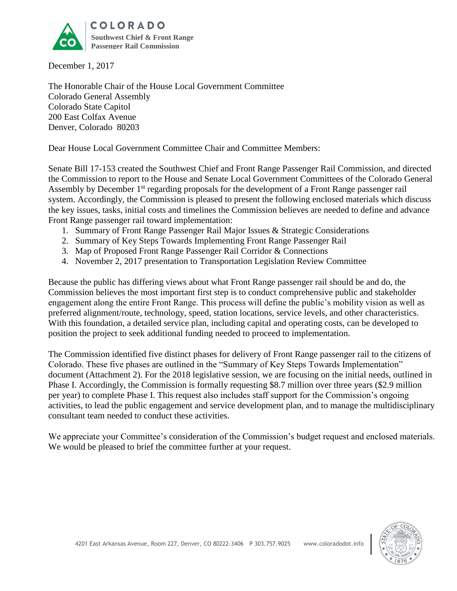

December 1, 2017

The Honorable Chair of the House Local Government Committee Colorado General Assembly Colorado State Capitol 200 East Colfax Avenue Denver, Colorado 80203

Dear House Local Government Committee Chair and Committee Members:

Senate Bill 17-153 created the Southwest Chief and Front Range Passenger Rail Commission, and directed the Commission to report to the House and Senate Local Government Committees of the Colorado General Assembly by December 1<sup>st</sup> regarding proposals for the development of a Front Range passenger rail system. Accordingly, the Commission is pleased to present the following enclosed materials which discuss the key issues, tasks, initial costs and timelines the Commission believes are needed to define and advance Front Range passenger rail toward implementation:

- 1. Summary of Front Range Passenger Rail Major Issues & Strategic Considerations
- 2. Summary of Key Steps Towards Implementing Front Range Passenger Rail
- 3. Map of Proposed Front Range Passenger Rail Corridor & Connections
- 4. November 2, 2017 presentation to Transportation Legislation Review Committee

Because the public has differing views about what Front Range passenger rail should be and do, the Commission believes the most important first step is to conduct comprehensive public and stakeholder engagement along the entire Front Range. This process will define the public's mobility vision as well as preferred alignment/route, technology, speed, station locations, service levels, and other characteristics. With this foundation, a detailed service plan, including capital and operating costs, can be developed to position the project to seek additional funding needed to proceed to implementation.

The Commission identified five distinct phases for delivery of Front Range passenger rail to the citizens of Colorado. These five phases are outlined in the "Summary of Key Steps Towards Implementation" document (Attachment 2). For the 2018 legislative session, we are focusing on the initial needs, outlined in Phase I. Accordingly, the Commission is formally requesting \$8.7 million over three years (\$2.9 million per year) to complete Phase I. This request also includes staff support for the Commission's ongoing activities, to lead the public engagement and service development plan, and to manage the multidisciplinary consultant team needed to conduct these activities.

We appreciate your Committee's consideration of the Commission's budget request and enclosed materials. We would be pleased to brief the committee further at your request.